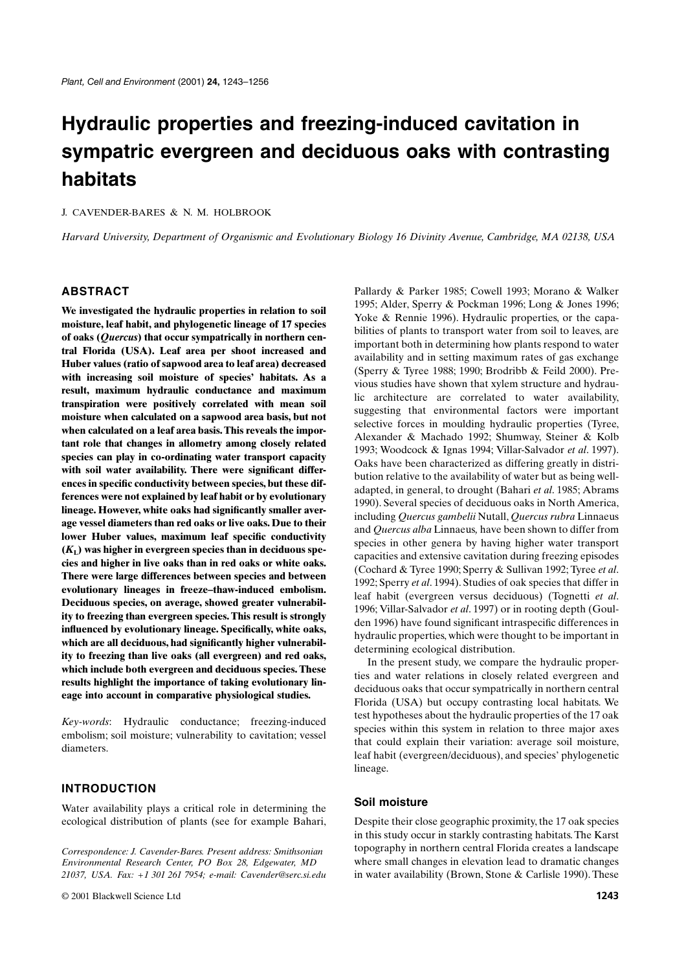# **Hydraulic properties and freezing-induced cavitation in sympatric evergreen and deciduous oaks with contrasting habitats**

J. CAVENDER-BARES & N. M. HOLBROOK

*Harvard University, Department of Organismic and Evolutionary Biology 16 Divinity Avenue, Cambridge, MA 02138, USA*

# **ABSTRACT**

**We investigated the hydraulic properties in relation to soil moisture, leaf habit, and phylogenetic lineage of 17 species of oaks (***Quercus***) that occur sympatrically in northern central Florida (USA). Leaf area per shoot increased and Huber values (ratio of sapwood area to leaf area) decreased with increasing soil moisture of species' habitats. As a result, maximum hydraulic conductance and maximum transpiration were positively correlated with mean soil moisture when calculated on a sapwood area basis, but not when calculated on a leaf area basis. This reveals the important role that changes in allometry among closely related species can play in co-ordinating water transport capacity with soil water availability. There were significant differences in specific conductivity between species, but these differences were not explained by leaf habit or by evolutionary lineage. However, white oaks had significantly smaller average vessel diameters than red oaks or live oaks. Due to their lower Huber values, maximum leaf specific conductivity**  $(K<sub>L</sub>)$  was higher in evergreen species than in deciduous spe**cies and higher in live oaks than in red oaks or white oaks. There were large differences between species and between evolutionary lineages in freeze–thaw-induced embolism. Deciduous species, on average, showed greater vulnerability to freezing than evergreen species. This result is strongly influenced by evolutionary lineage. Specifically, white oaks, which are all deciduous, had significantly higher vulnerability to freezing than live oaks (all evergreen) and red oaks, which include both evergreen and deciduous species. These results highlight the importance of taking evolutionary lineage into account in comparative physiological studies.**

*Key-words*: Hydraulic conductance; freezing-induced embolism; soil moisture; vulnerability to cavitation; vessel diameters.

# **INTRODUCTION**

Water availability plays a critical role in determining the ecological distribution of plants (see for example Bahari,

*Correspondence: J. Cavender-Bares. Present address: Smithsonian Environmental Research Center, PO Box 28, Edgewater, MD 21037, USA. Fax: +1 301 261 7954; e-mail: Cavender@serc.si.edu* Pallardy & Parker 1985; Cowell 1993; Morano & Walker 1995; Alder, Sperry & Pockman 1996; Long & Jones 1996; Yoke & Rennie 1996). Hydraulic properties, or the capabilities of plants to transport water from soil to leaves, are important both in determining how plants respond to water availability and in setting maximum rates of gas exchange (Sperry & Tyree 1988; 1990; Brodribb & Feild 2000). Previous studies have shown that xylem structure and hydraulic architecture are correlated to water availability, suggesting that environmental factors were important selective forces in moulding hydraulic properties (Tyree, Alexander & Machado 1992; Shumway, Steiner & Kolb 1993; Woodcock & Ignas 1994; Villar-Salvador *et al*. 1997). Oaks have been characterized as differing greatly in distribution relative to the availability of water but as being welladapted, in general, to drought (Bahari *et al*. 1985; Abrams 1990). Several species of deciduous oaks in North America, including *Quercus gambelii* Nutall, *Quercus rubra* Linnaeus and *Quercus alba* Linnaeus*,* have been shown to differ from species in other genera by having higher water transport capacities and extensive cavitation during freezing episodes (Cochard & Tyree 1990; Sperry & Sullivan 1992; Tyree *et al*. 1992; Sperry *et al*. 1994). Studies of oak species that differ in leaf habit (evergreen versus deciduous) (Tognetti *et al*. 1996; Villar-Salvador *et al*. 1997) or in rooting depth (Goulden 1996) have found significant intraspecific differences in hydraulic properties, which were thought to be important in determining ecological distribution.

In the present study, we compare the hydraulic properties and water relations in closely related evergreen and deciduous oaks that occur sympatrically in northern central Florida (USA) but occupy contrasting local habitats. We test hypotheses about the hydraulic properties of the 17 oak species within this system in relation to three major axes that could explain their variation: average soil moisture, leaf habit (evergreen/deciduous), and species' phylogenetic lineage.

## **Soil moisture**

Despite their close geographic proximity, the 17 oak species in this study occur in starkly contrasting habitats. The Karst topography in northern central Florida creates a landscape where small changes in elevation lead to dramatic changes in water availability (Brown, Stone & Carlisle 1990). These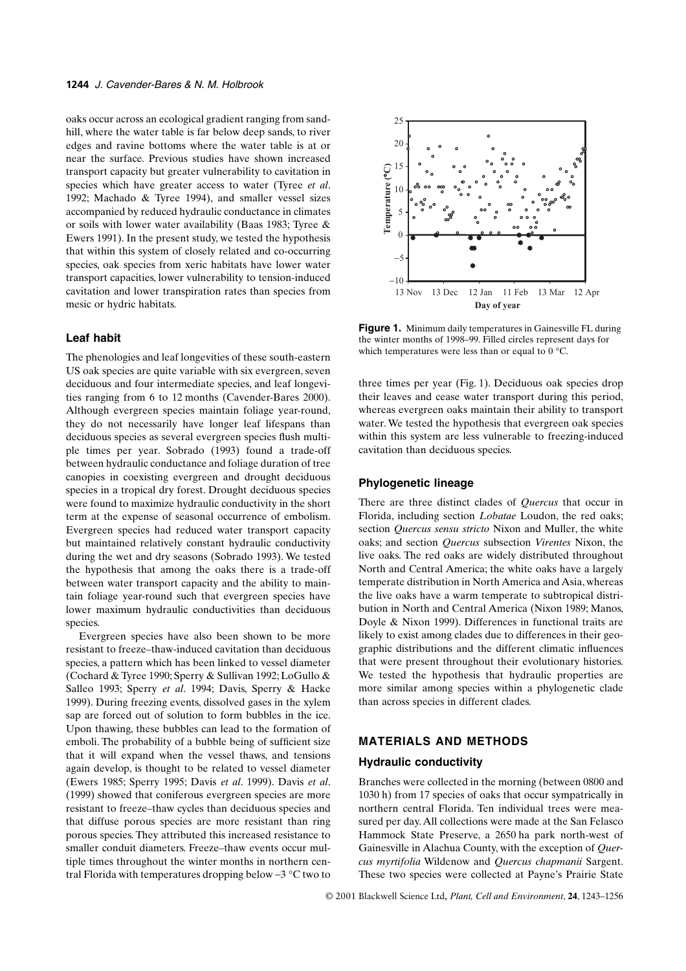oaks occur across an ecological gradient ranging from sandhill, where the water table is far below deep sands, to river edges and ravine bottoms where the water table is at or near the surface. Previous studies have shown increased transport capacity but greater vulnerability to cavitation in species which have greater access to water (Tyree *et al*. 1992; Machado & Tyree 1994), and smaller vessel sizes accompanied by reduced hydraulic conductance in climates or soils with lower water availability (Baas 1983; Tyree & Ewers 1991). In the present study, we tested the hypothesis that within this system of closely related and co-occurring species, oak species from xeric habitats have lower water transport capacities, lower vulnerability to tension-induced cavitation and lower transpiration rates than species from mesic or hydric habitats.

## **Leaf habit**

The phenologies and leaf longevities of these south-eastern US oak species are quite variable with six evergreen, seven deciduous and four intermediate species, and leaf longevities ranging from 6 to 12 months (Cavender-Bares 2000). Although evergreen species maintain foliage year-round, they do not necessarily have longer leaf lifespans than deciduous species as several evergreen species flush multiple times per year. Sobrado (1993) found a trade-off between hydraulic conductance and foliage duration of tree canopies in coexisting evergreen and drought deciduous species in a tropical dry forest. Drought deciduous species were found to maximize hydraulic conductivity in the short term at the expense of seasonal occurrence of embolism. Evergreen species had reduced water transport capacity but maintained relatively constant hydraulic conductivity during the wet and dry seasons (Sobrado 1993). We tested the hypothesis that among the oaks there is a trade-off between water transport capacity and the ability to maintain foliage year-round such that evergreen species have lower maximum hydraulic conductivities than deciduous species.

Evergreen species have also been shown to be more resistant to freeze–thaw-induced cavitation than deciduous species, a pattern which has been linked to vessel diameter (Cochard & Tyree 1990; Sperry & Sullivan 1992; LoGullo & Salleo 1993; Sperry *et al*. 1994; Davis, Sperry & Hacke 1999). During freezing events, dissolved gases in the xylem sap are forced out of solution to form bubbles in the ice. Upon thawing, these bubbles can lead to the formation of emboli. The probability of a bubble being of sufficient size that it will expand when the vessel thaws, and tensions again develop, is thought to be related to vessel diameter (Ewers 1985; Sperry 1995; Davis *et al*. 1999). Davis *et al*. (1999) showed that coniferous evergreen species are more resistant to freeze–thaw cycles than deciduous species and that diffuse porous species are more resistant than ring porous species. They attributed this increased resistance to smaller conduit diameters. Freeze–thaw events occur multiple times throughout the winter months in northern central Florida with temperatures dropping below −3 °C two to



**Figure 1.** Minimum daily temperatures in Gainesville FL during the winter months of 1998–99. Filled circles represent days for which temperatures were less than or equal to 0 °C.

three times per year (Fig. 1). Deciduous oak species drop their leaves and cease water transport during this period, whereas evergreen oaks maintain their ability to transport water. We tested the hypothesis that evergreen oak species within this system are less vulnerable to freezing-induced cavitation than deciduous species.

#### **Phylogenetic lineage**

There are three distinct clades of *Quercus* that occur in Florida, including section *Lobatae* Loudon, the red oaks; section *Quercus sensu stricto* Nixon and Muller, the white oaks; and section *Quercus* subsection *Virentes* Nixon, the live oaks. The red oaks are widely distributed throughout North and Central America; the white oaks have a largely temperate distribution in North America and Asia, whereas the live oaks have a warm temperate to subtropical distribution in North and Central America (Nixon 1989; Manos, Doyle & Nixon 1999). Differences in functional traits are likely to exist among clades due to differences in their geographic distributions and the different climatic influences that were present throughout their evolutionary histories. We tested the hypothesis that hydraulic properties are more similar among species within a phylogenetic clade than across species in different clades.

# **MATERIALS AND METHODS**

## **Hydraulic conductivity**

Branches were collected in the morning (between 0800 and 1030 h) from 17 species of oaks that occur sympatrically in northern central Florida. Ten individual trees were measured per day. All collections were made at the San Felasco Hammock State Preserve, a 2650 ha park north-west of Gainesville in Alachua County, with the exception of *Quercus myrtifolia* Wildenow and *Quercus chapmanii* Sargent. These two species were collected at Payne's Prairie State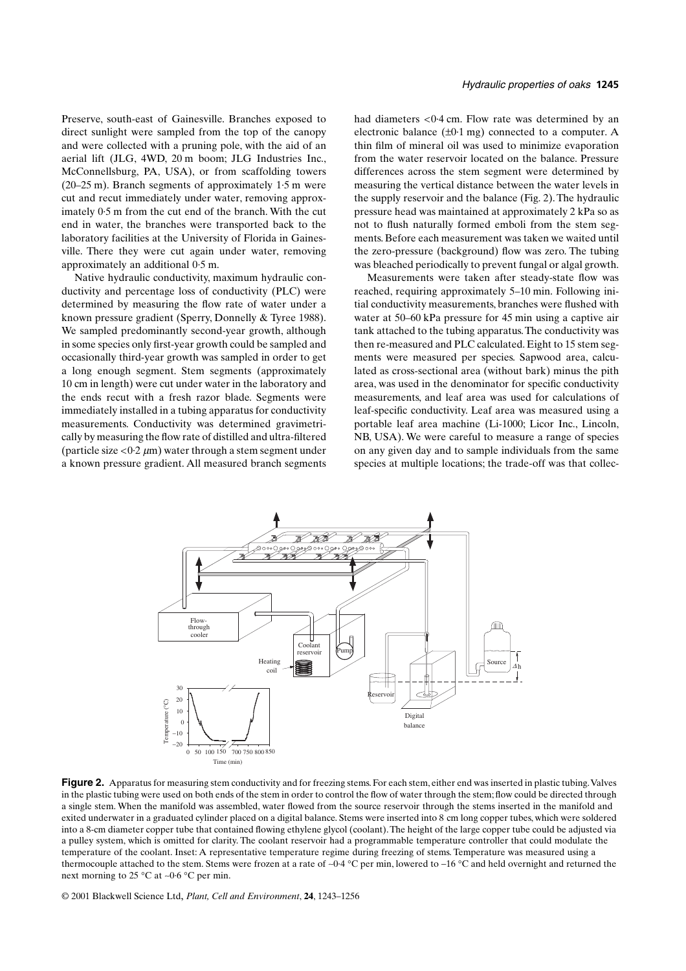Preserve, south-east of Gainesville. Branches exposed to direct sunlight were sampled from the top of the canopy and were collected with a pruning pole, with the aid of an aerial lift (JLG, 4WD, 20 m boom; JLG Industries Inc., McConnellsburg, PA, USA), or from scaffolding towers (20–25 m). Branch segments of approximately 1·5 m were cut and recut immediately under water, removing approximately 0·5 m from the cut end of the branch. With the cut end in water, the branches were transported back to the laboratory facilities at the University of Florida in Gainesville. There they were cut again under water, removing approximately an additional 0·5 m.

Native hydraulic conductivity, maximum hydraulic conductivity and percentage loss of conductivity (PLC) were determined by measuring the flow rate of water under a known pressure gradient (Sperry, Donnelly & Tyree 1988). We sampled predominantly second-year growth, although in some species only first-year growth could be sampled and occasionally third-year growth was sampled in order to get a long enough segment. Stem segments (approximately 10 cm in length) were cut under water in the laboratory and the ends recut with a fresh razor blade. Segments were immediately installed in a tubing apparatus for conductivity measurements. Conductivity was determined gravimetrically by measuring the flow rate of distilled and ultra-filtered (particle size  $\langle 0.2 \mu m \rangle$  water through a stem segment under a known pressure gradient. All measured branch segments had diameters <0·4 cm. Flow rate was determined by an electronic balance  $(\pm 0.1 \text{ mg})$  connected to a computer. A thin film of mineral oil was used to minimize evaporation from the water reservoir located on the balance. Pressure differences across the stem segment were determined by measuring the vertical distance between the water levels in the supply reservoir and the balance (Fig. 2). The hydraulic pressure head was maintained at approximately 2 kPa so as not to flush naturally formed emboli from the stem segments. Before each measurement was taken we waited until the zero-pressure (background) flow was zero. The tubing was bleached periodically to prevent fungal or algal growth.

Measurements were taken after steady-state flow was reached, requiring approximately 5–10 min. Following initial conductivity measurements, branches were flushed with water at 50–60 kPa pressure for 45 min using a captive air tank attached to the tubing apparatus. The conductivity was then re-measured and PLC calculated. Eight to 15 stem segments were measured per species. Sapwood area, calculated as cross-sectional area (without bark) minus the pith area, was used in the denominator for specific conductivity measurements, and leaf area was used for calculations of leaf-specific conductivity. Leaf area was measured using a portable leaf area machine (Li-1000; Licor Inc., Lincoln, NB, USA). We were careful to measure a range of species on any given day and to sample individuals from the same species at multiple locations; the trade-off was that collec-



**Figure 2.** Apparatus for measuring stem conductivity and for freezing stems. For each stem, either end was inserted in plastic tubing. Valves in the plastic tubing were used on both ends of the stem in order to control the flow of water through the stem; flow could be directed through a single stem. When the manifold was assembled, water flowed from the source reservoir through the stems inserted in the manifold and exited underwater in a graduated cylinder placed on a digital balance. Stems were inserted into 8 cm long copper tubes, which were soldered into a 8-cm diameter copper tube that contained flowing ethylene glycol (coolant). The height of the large copper tube could be adjusted via a pulley system, which is omitted for clarity. The coolant reservoir had a programmable temperature controller that could modulate the temperature of the coolant. Inset: A representative temperature regime during freezing of stems. Temperature was measured using a thermocouple attached to the stem. Stems were frozen at a rate of ∼0·4 °C per min, lowered to −16 °C and held overnight and returned the next morning to 25 °C at ∼0·6 °C per min.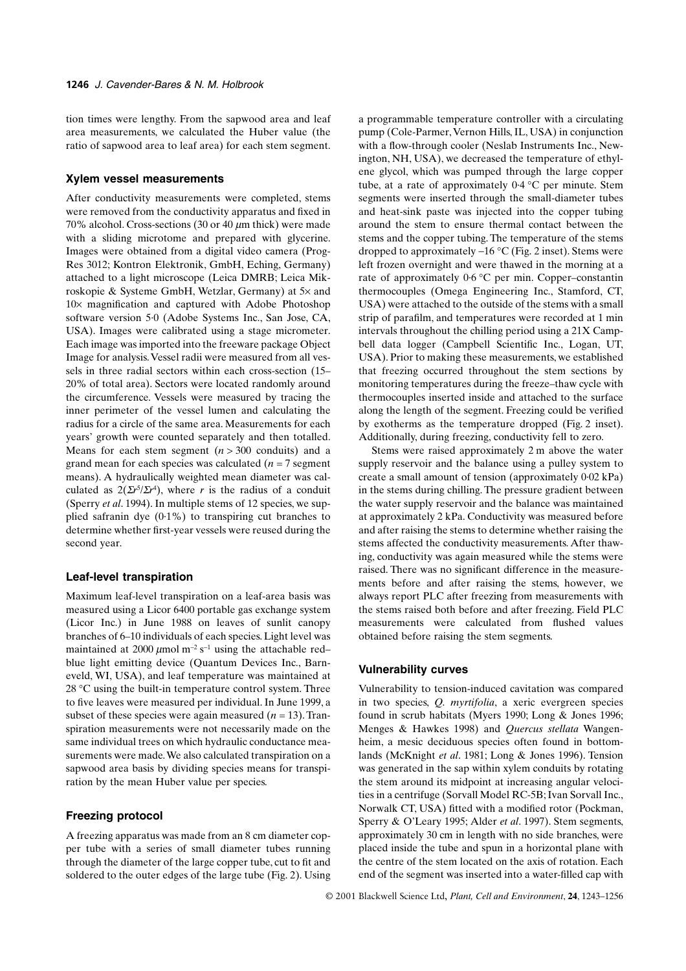tion times were lengthy. From the sapwood area and leaf area measurements, we calculated the Huber value (the ratio of sapwood area to leaf area) for each stem segment.

#### **Xylem vessel measurements**

After conductivity measurements were completed, stems were removed from the conductivity apparatus and fixed in 70% alcohol. Cross-sections (30 or 40 µm thick) were made with a sliding microtome and prepared with glycerine. Images were obtained from a digital video camera (Prog-Res 3012; Kontron Elektronik, GmbH, Eching, Germany) attached to a light microscope (Leica DMRB; Leica Mikroskopie & Systeme GmbH, Wetzlar, Germany) at 5× and 10× magnification and captured with Adobe Photoshop software version 5·0 (Adobe Systems Inc., San Jose, CA, USA). Images were calibrated using a stage micrometer. Each image was imported into the freeware package Object Image for analysis. Vessel radii were measured from all vessels in three radial sectors within each cross-section (15– 20% of total area). Sectors were located randomly around the circumference. Vessels were measured by tracing the inner perimeter of the vessel lumen and calculating the radius for a circle of the same area. Measurements for each years' growth were counted separately and then totalled. Means for each stem segment  $(n > 300$  conduits) and a grand mean for each species was calculated (*n* = 7 segment means). A hydraulically weighted mean diameter was calculated as  $2(\Sigma r^{5}/\Sigma r^{4})$ , where *r* is the radius of a conduit (Sperry *et al*. 1994). In multiple stems of 12 species, we supplied safranin dye (0·1%) to transpiring cut branches to determine whether first-year vessels were reused during the second year.

## **Leaf-level transpiration**

Maximum leaf-level transpiration on a leaf-area basis was measured using a Licor 6400 portable gas exchange system (Licor Inc.) in June 1988 on leaves of sunlit canopy branches of 6–10 individuals of each species. Light level was maintained at 2000  $\mu$ mol m<sup>-2</sup> s<sup>-1</sup> using the attachable red– blue light emitting device (Quantum Devices Inc., Barneveld, WI, USA), and leaf temperature was maintained at 28 °C using the built-in temperature control system. Three to five leaves were measured per individual. In June 1999, a subset of these species were again measured  $(n = 13)$ . Transpiration measurements were not necessarily made on the same individual trees on which hydraulic conductance measurements were made. We also calculated transpiration on a sapwood area basis by dividing species means for transpiration by the mean Huber value per species.

# **Freezing protocol**

A freezing apparatus was made from an 8 cm diameter copper tube with a series of small diameter tubes running through the diameter of the large copper tube, cut to fit and soldered to the outer edges of the large tube (Fig. 2). Using a programmable temperature controller with a circulating pump (Cole-Parmer, Vernon Hills, IL, USA) in conjunction with a flow-through cooler (Neslab Instruments Inc., Newington, NH, USA), we decreased the temperature of ethylene glycol, which was pumped through the large copper tube, at a rate of approximately 0·4 °C per minute. Stem segments were inserted through the small-diameter tubes and heat-sink paste was injected into the copper tubing around the stem to ensure thermal contact between the stems and the copper tubing. The temperature of the stems dropped to approximately −16 °C (Fig. 2 inset). Stems were left frozen overnight and were thawed in the morning at a rate of approximately 0·6 °C per min. Copper–constantin thermocouples (Omega Engineering Inc., Stamford, CT, USA) were attached to the outside of the stems with a small strip of parafilm, and temperatures were recorded at 1 min intervals throughout the chilling period using a 21X Campbell data logger (Campbell Scientific Inc., Logan, UT, USA). Prior to making these measurements, we established that freezing occurred throughout the stem sections by monitoring temperatures during the freeze–thaw cycle with thermocouples inserted inside and attached to the surface along the length of the segment. Freezing could be verified by exotherms as the temperature dropped (Fig. 2 inset). Additionally, during freezing, conductivity fell to zero.

Stems were raised approximately 2 m above the water supply reservoir and the balance using a pulley system to create a small amount of tension (approximately 0·02 kPa) in the stems during chilling. The pressure gradient between the water supply reservoir and the balance was maintained at approximately 2 kPa. Conductivity was measured before and after raising the stems to determine whether raising the stems affected the conductivity measurements. After thawing, conductivity was again measured while the stems were raised. There was no significant difference in the measurements before and after raising the stems, however, we always report PLC after freezing from measurements with the stems raised both before and after freezing. Field PLC measurements were calculated from flushed values obtained before raising the stem segments.

## **Vulnerability curves**

Vulnerability to tension-induced cavitation was compared in two species, *Q. myrtifolia*, a xeric evergreen species found in scrub habitats (Myers 1990; Long & Jones 1996; Menges & Hawkes 1998) and *Quercus stellata* Wangenheim, a mesic deciduous species often found in bottomlands (McKnight *et al*. 1981; Long & Jones 1996). Tension was generated in the sap within xylem conduits by rotating the stem around its midpoint at increasing angular velocities in a centrifuge (Sorvall Model RC-5B; Ivan Sorvall Inc., Norwalk CT, USA) fitted with a modified rotor (Pockman, Sperry & O'Leary 1995; Alder *et al*. 1997). Stem segments, approximately 30 cm in length with no side branches, were placed inside the tube and spun in a horizontal plane with the centre of the stem located on the axis of rotation. Each end of the segment was inserted into a water-filled cap with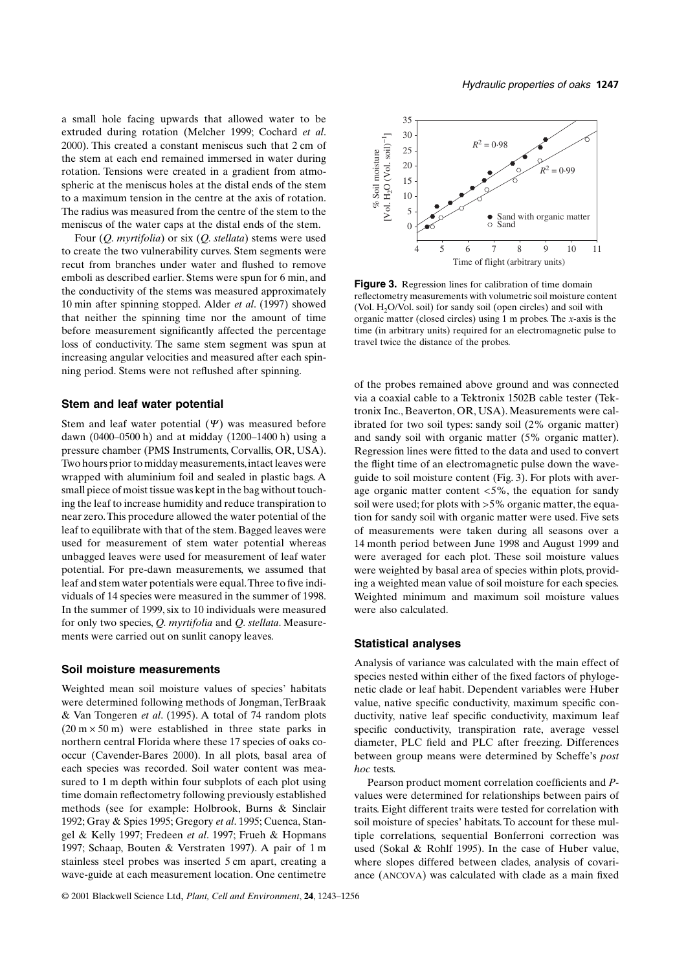a small hole facing upwards that allowed water to be extruded during rotation (Melcher 1999; Cochard *et al*. 2000). This created a constant meniscus such that 2 cm of the stem at each end remained immersed in water during rotation. Tensions were created in a gradient from atmospheric at the meniscus holes at the distal ends of the stem to a maximum tension in the centre at the axis of rotation. The radius was measured from the centre of the stem to the meniscus of the water caps at the distal ends of the stem.

Four (*Q. myrtifolia*) or six (*Q. stellata*) stems were used to create the two vulnerability curves. Stem segments were recut from branches under water and flushed to remove emboli as described earlier. Stems were spun for 6 min, and the conductivity of the stems was measured approximately 10 min after spinning stopped. Alder *et al*. (1997) showed that neither the spinning time nor the amount of time before measurement significantly affected the percentage loss of conductivity. The same stem segment was spun at increasing angular velocities and measured after each spinning period. Stems were not reflushed after spinning.

## **Stem and leaf water potential**

Stem and leaf water potential  $(\Psi)$  was measured before dawn (0400–0500 h) and at midday (1200–1400 h) using a pressure chamber (PMS Instruments, Corvallis, OR, USA). Two hours prior to midday measurements, intact leaves were wrapped with aluminium foil and sealed in plastic bags. A small piece of moist tissue was kept in the bag without touching the leaf to increase humidity and reduce transpiration to near zero. This procedure allowed the water potential of the leaf to equilibrate with that of the stem. Bagged leaves were used for measurement of stem water potential whereas unbagged leaves were used for measurement of leaf water potential. For pre-dawn measurements, we assumed that leaf and stem water potentials were equal. Three to five individuals of 14 species were measured in the summer of 1998. In the summer of 1999, six to 10 individuals were measured for only two species, *Q. myrtifolia* and *Q. stellata*. Measurements were carried out on sunlit canopy leaves.

#### **Soil moisture measurements**

Weighted mean soil moisture values of species' habitats were determined following methods of Jongman, TerBraak & Van Tongeren *et al*. (1995). A total of 74 random plots  $(20 \text{ m} \times 50 \text{ m})$  were established in three state parks in northern central Florida where these 17 species of oaks cooccur (Cavender-Bares 2000). In all plots, basal area of each species was recorded. Soil water content was measured to 1 m depth within four subplots of each plot using time domain reflectometry following previously established methods (see for example: Holbrook, Burns & Sinclair 1992; Gray & Spies 1995; Gregory *et al*. 1995; Cuenca, Stangel & Kelly 1997; Fredeen *et al*. 1997; Frueh & Hopmans 1997; Schaap, Bouten & Verstraten 1997). A pair of 1 m stainless steel probes was inserted 5 cm apart, creating a wave-guide at each measurement location. One centimetre



**Figure 3.** Regression lines for calibration of time domain reflectometry measurements with volumetric soil moisture content (Vol.  $H<sub>2</sub>O/Vol.$  soil) for sandy soil (open circles) and soil with organic matter (closed circles) using 1 m probes. The *x*-axis is the time (in arbitrary units) required for an electromagnetic pulse to travel twice the distance of the probes.

of the probes remained above ground and was connected via a coaxial cable to a Tektronix 1502B cable tester (Tektronix Inc., Beaverton, OR, USA). Measurements were calibrated for two soil types: sandy soil (2% organic matter) and sandy soil with organic matter (5% organic matter). Regression lines were fitted to the data and used to convert the flight time of an electromagnetic pulse down the waveguide to soil moisture content (Fig. 3). For plots with average organic matter content <5%, the equation for sandy soil were used; for plots with >5% organic matter, the equation for sandy soil with organic matter were used. Five sets of measurements were taken during all seasons over a 14 month period between June 1998 and August 1999 and were averaged for each plot. These soil moisture values were weighted by basal area of species within plots, providing a weighted mean value of soil moisture for each species. Weighted minimum and maximum soil moisture values were also calculated.

#### **Statistical analyses**

Analysis of variance was calculated with the main effect of species nested within either of the fixed factors of phylogenetic clade or leaf habit. Dependent variables were Huber value, native specific conductivity, maximum specific conductivity, native leaf specific conductivity, maximum leaf specific conductivity, transpiration rate, average vessel diameter, PLC field and PLC after freezing. Differences between group means were determined by Scheffe's *post hoc* tests.

Pearson product moment correlation coefficients and *P*values were determined for relationships between pairs of traits. Eight different traits were tested for correlation with soil moisture of species' habitats. To account for these multiple correlations, sequential Bonferroni correction was used (Sokal & Rohlf 1995). In the case of Huber value, where slopes differed between clades, analysis of covariance (ANCOVA) was calculated with clade as a main fixed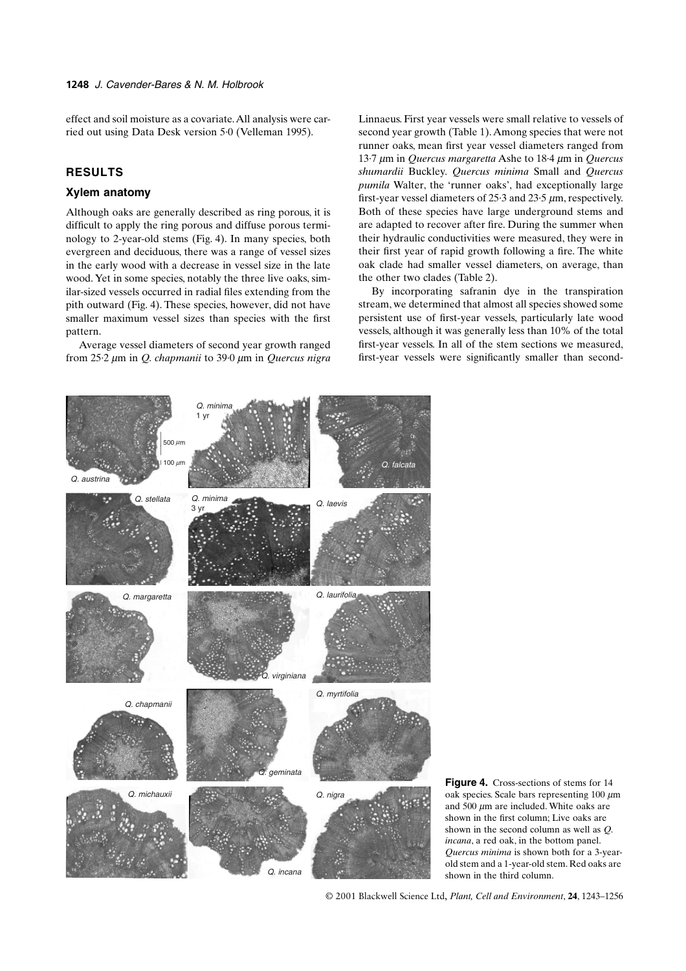effect and soil moisture as a covariate. All analysis were carried out using Data Desk version 5·0 (Velleman 1995).

# **RESULTS**

# **Xylem anatomy**

Although oaks are generally described as ring porous, it is difficult to apply the ring porous and diffuse porous terminology to 2-year-old stems (Fig. 4). In many species, both evergreen and deciduous, there was a range of vessel sizes in the early wood with a decrease in vessel size in the late wood. Yet in some species, notably the three live oaks, similar-sized vessels occurred in radial files extending from the pith outward (Fig. 4). These species, however, did not have smaller maximum vessel sizes than species with the first pattern.

Average vessel diameters of second year growth ranged from 25·2 µm in *Q. chapmanii* to 39·0 µm in *Quercus nigra*

Linnaeus. First year vessels were small relative to vessels of second year growth (Table 1). Among species that were not runner oaks, mean first year vessel diameters ranged from 13·7 µm in *Quercus margaretta* Ashe to 18·4 µm in *Quercus shumardii* Buckley*. Quercus minima* Small and *Quercus pumila* Walter, the 'runner oaks', had exceptionally large first-year vessel diameters of 25·3 and 23·5 µm, respectively. Both of these species have large underground stems and are adapted to recover after fire. During the summer when their hydraulic conductivities were measured, they were in their first year of rapid growth following a fire. The white oak clade had smaller vessel diameters, on average, than the other two clades (Table 2).

By incorporating safranin dye in the transpiration stream, we determined that almost all species showed some persistent use of first-year vessels, particularly late wood vessels, although it was generally less than 10% of the total first-year vessels. In all of the stem sections we measured, first-year vessels were significantly smaller than second-



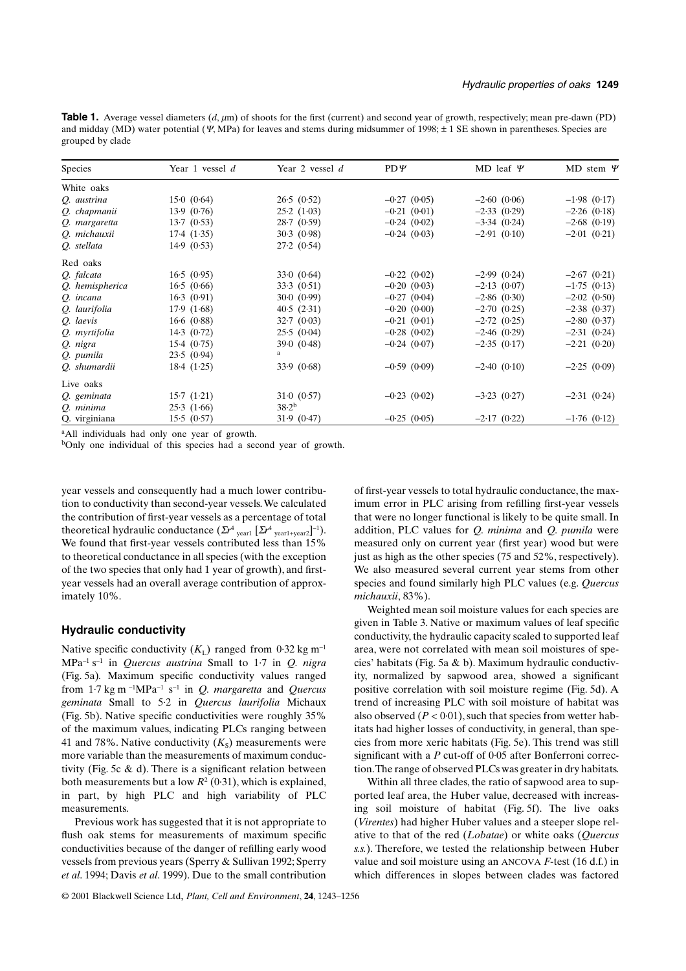**Table 1.** Average vessel diameters (*d*,  $\mu$ m) of shoots for the first (current) and second year of growth, respectively; mean pre-dawn (PD) and midday (MD) water potential ( $\Psi$ , MPa) for leaves and stems during midsummer of 1998;  $\pm$  1 SE shown in parentheses. Species are grouped by clade

| <b>Species</b>  | Year 1 vessel $d$ | Year 2 vessel $d$     | $PD\Psi$       | MD leaf $\Psi$ | MD stem $\Psi$ |
|-----------------|-------------------|-----------------------|----------------|----------------|----------------|
| White oaks      |                   |                       |                |                |                |
| Q. austrina     | 15.0(0.64)        | 26.5(0.52)            | $-0.27(0.05)$  | $-2.60(0.06)$  | $-1.98$ (0.17) |
| Q. chapmanii    | 13.9(0.76)        | 25.2(1.03)            | $-0.21(0.01)$  | $-2.33(0.29)$  | $-2.26$ (0.18) |
| Q. margaretta   | 13.7(0.53)        | 28.7(0.59)            | $-0.24(0.02)$  | $-3.34(0.24)$  | $-2.68$ (0.19) |
| Q. michauxii    | 17.4(1.35)        | 30.3(0.98)            | $-0.24(0.03)$  | $-2.91(0.10)$  | $-2.01(0.21)$  |
| O. stellata     | 14.9(0.53)        | 27.2(0.54)            |                |                |                |
| Red oaks        |                   |                       |                |                |                |
| O. falcata      | 16.5(0.95)        | 33.0(0.64)            | $-0.22$ (0.02) | $-2.99(0.24)$  | $-2.67$ (0.21) |
| Q. hemispherica | 16.5(0.66)        | 33.3(0.51)            | $-0.20(0.03)$  | $-2.13(0.07)$  | $-1.75(0.13)$  |
| O. incana       | 16.3(0.91)        | 30.0(0.99)            | $-0.27(0.04)$  | $-2.86(0.30)$  | $-2.02$ (0.50) |
| O. laurifolia   | 17.9(1.68)        | 40.5(2.31)            | $-0.20(0.00)$  | $-2.70(0.25)$  | $-2.38(0.37)$  |
| O. laevis       | 16.6(0.88)        | 32.7(0.03)            | $-0.21(0.01)$  | $-2.72(0.25)$  | $-2.80(0.37)$  |
| Q. myrtifolia   | 14.3(0.72)        | 25.5(0.04)            | $-0.28$ (0.02) | $-2.46(0.29)$  | $-2.31(0.24)$  |
| Q. nigra        | 15.4(0.75)        | 39.0(0.48)            | $-0.24(0.07)$  | $-2.35(0.17)$  | $-2.21(0.20)$  |
| Q. pumila       | 23.5(0.94)        | a                     |                |                |                |
| Q. shumardii    | 18.4(1.25)        | 33.9(0.68)            | $-0.59(0.09)$  | $-2.40(0.10)$  | $-2.25(0.09)$  |
| Live oaks       |                   |                       |                |                |                |
| O. geminata     | 15.7(1.21)        | $31 \cdot 0$ $(0.57)$ | $-0.23(0.02)$  | $-3.23$ (0.27) | $-2.31(0.24)$  |
| Q. minima       | 25.3(1.66)        | 38.2 <sup>b</sup>     |                |                |                |
| Q. virginiana   | 15.5(0.57)        | 31.9(0.47)            | $-0.25(0.05)$  | $-2.17(0.22)$  | $-1.76$ (0.12) |

<sup>a</sup>All individuals had only one year of growth.

bOnly one individual of this species had a second year of growth.

year vessels and consequently had a much lower contribution to conductivity than second-year vessels. We calculated the contribution of first-year vessels as a percentage of total theoretical hydraulic conductance  $(\Sigma r^4)$ <sub>year1</sub>  $[\Sigma r^4)$ <sub>year1+year2</sub>]<sup>-1</sup>). We found that first-year vessels contributed less than 15% to theoretical conductance in all species (with the exception of the two species that only had 1 year of growth), and firstyear vessels had an overall average contribution of approximately 10%.

## **Hydraulic conductivity**

Native specific conductivity  $(K_L)$  ranged from 0·32 kg m<sup>-1</sup> MPa<sup>−</sup><sup>1</sup> s<sup>−</sup>1 in *Quercus austrina* Small to 1·7 in *Q. nigra* (Fig. 5a)*.* Maximum specific conductivity values ranged from 1·7 kg m <sup>−</sup>1MPa<sup>−</sup>1 s<sup>−</sup>1 in *Q. margaretta* and *Quercus geminata* Small to 5·2 in *Quercus laurifolia* Michaux (Fig. 5b). Native specific conductivities were roughly 35% of the maximum values, indicating PLCs ranging between 41 and 78%. Native conductivity  $(K<sub>s</sub>)$  measurements were more variable than the measurements of maximum conductivity (Fig. 5c  $\&$  d). There is a significant relation between both measurements but a low  $R^2$  (0.31), which is explained, in part, by high PLC and high variability of PLC measurements.

Previous work has suggested that it is not appropriate to flush oak stems for measurements of maximum specific conductivities because of the danger of refilling early wood vessels from previous years (Sperry & Sullivan 1992; Sperry *et al*. 1994; Davis *et al*. 1999). Due to the small contribution

of first-year vessels to total hydraulic conductance, the maximum error in PLC arising from refilling first-year vessels that were no longer functional is likely to be quite small. In addition, PLC values for *Q. minima* and *Q. pumila* were measured only on current year (first year) wood but were just as high as the other species (75 and 52%, respectively). We also measured several current year stems from other species and found similarly high PLC values (e.g. *Quercus michauxii*, 83%).

Weighted mean soil moisture values for each species are given in Table 3. Native or maximum values of leaf specific conductivity, the hydraulic capacity scaled to supported leaf area, were not correlated with mean soil moistures of species' habitats (Fig. 5a & b). Maximum hydraulic conductivity, normalized by sapwood area, showed a significant positive correlation with soil moisture regime (Fig. 5d). A trend of increasing PLC with soil moisture of habitat was also observed  $(P < 0.01)$ , such that species from wetter habitats had higher losses of conductivity, in general, than species from more xeric habitats (Fig. 5e). This trend was still significant with a *P* cut-off of 0·05 after Bonferroni correction. The range of observed PLCs was greater in dry habitats.

Within all three clades, the ratio of sapwood area to supported leaf area, the Huber value, decreased with increasing soil moisture of habitat (Fig. 5f). The live oaks (*Virentes*) had higher Huber values and a steeper slope relative to that of the red (*Lobatae*) or white oaks (*Quercus s.s.*). Therefore, we tested the relationship between Huber value and soil moisture using an ANCOVA *F*-test (16 d.f.) in which differences in slopes between clades was factored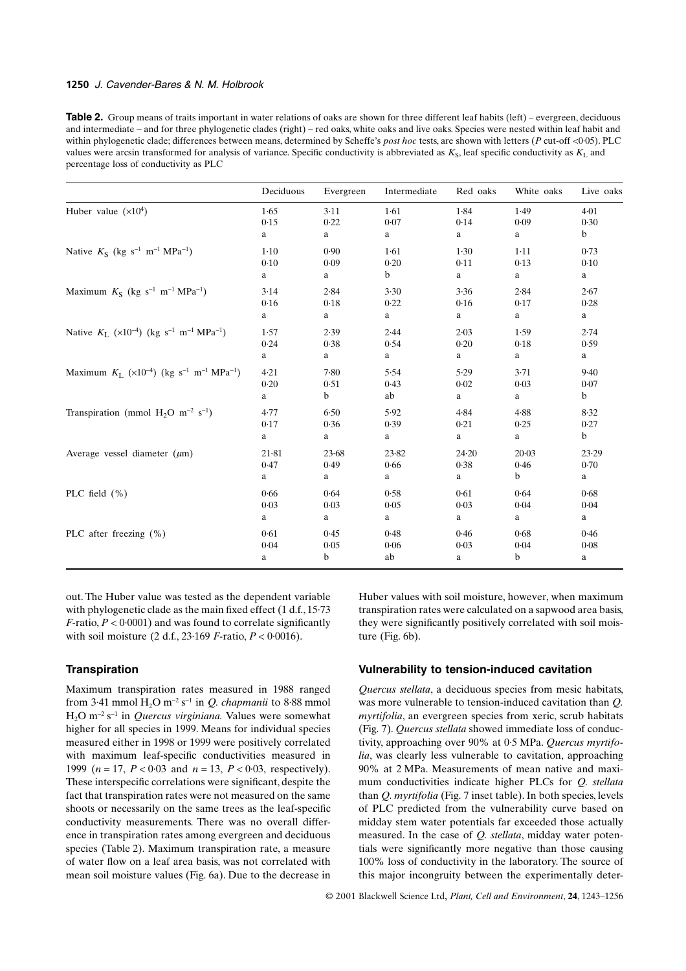# **1250** *J. Cavender-Bares & N. M. Holbrook*

**Table 2.** Group means of traits important in water relations of oaks are shown for three different leaf habits (left) – evergreen, deciduous and intermediate – and for three phylogenetic clades (right) – red oaks, white oaks and live oaks. Species were nested within leaf habit and within phylogenetic clade; differences between means, determined by Scheffe's *post hoc* tests, are shown with letters (*P* cut-off <0·05). PLC values were arcsin transformed for analysis of variance. Specific conductivity is abbreviated as  $K_S$ , leaf specific conductivity as  $K_L$  and percentage loss of conductivity as PLC

|                                                                                            | Deciduous | Evergreen   | Intermediate | Red oaks  | White oaks  | Live oaks   |
|--------------------------------------------------------------------------------------------|-----------|-------------|--------------|-----------|-------------|-------------|
| Huber value $(x10^4)$                                                                      | 1.65      | 3.11        | 1.61         | 1.84      | 1.49        | $4 - 01$    |
|                                                                                            | 0.15      | 0.22        | 0.07         | 0.14      | 0.09        | 0.30        |
|                                                                                            | a         | a           | a            | a         | a           | $\mathbf b$ |
| Native $K_S$ (kg s <sup>-1</sup> m <sup>-1</sup> MPa <sup>-1</sup> )                       | $1 - 10$  | 0.90        | 1.61         | 1.30      | $1-11$      | 0.73        |
|                                                                                            | 0.10      | 0.09        | 0.20         | 0.11      | 0.13        | 0.10        |
|                                                                                            | a         | a           | b            | a         | a           | a           |
| Maximum $K_S$ (kg s <sup>-1</sup> m <sup>-1</sup> MPa <sup>-1</sup> )                      | 3.14      | 2.84        | 3.30         | 3.36      | 2.84        | 2.67        |
|                                                                                            | 0.16      | 0.18        | 0.22         | 0.16      | 0.17        | 0.28        |
|                                                                                            | a         | a           | a            | a         | a           | a           |
| Native $K_L$ (×10 <sup>-4</sup> ) (kg s <sup>-1</sup> m <sup>-1</sup> MPa <sup>-1</sup> )  | 1.57      | 2.39        | 2.44         | 2.03      | 1.59        | 2.74        |
|                                                                                            | 0.24      | 0.38        | 0.54         | 0.20      | 0.18        | 0.59        |
|                                                                                            | a         | a           | a            | a         | a           | a           |
| Maximum $K_L$ (×10 <sup>-4</sup> ) (kg s <sup>-1</sup> m <sup>-1</sup> MPa <sup>-1</sup> ) | 4.21      | 7.80        | 5.54         | 5.29      | 3.71        | 9.40        |
|                                                                                            | 0.20      | 0.51        | 0.43         | 0.02      | 0.03        | 0.07        |
|                                                                                            | a         | $\mathbf b$ | ab           | a         | a           | $\mathbf b$ |
| Transpiration (mmol $H_2O$ m <sup>-2</sup> s <sup>-1</sup> )                               | 4.77      | 6.50        | 5.92         | 4.84      | 4.88        | 8.32        |
|                                                                                            | 0.17      | 0.36        | 0.39         | 0.21      | 0.25        | 0.27        |
|                                                                                            | a         | a           | a            | a         | a           | $\mathbf b$ |
| Average vessel diameter $(\mu m)$                                                          | 21.81     | 23.68       | 23.82        | $24 - 20$ | 20.03       | 23.29       |
|                                                                                            | 0.47      | 0.49        | 0.66         | 0.38      | 0.46        | 0.70        |
|                                                                                            | a         | a           | a            | a         | $\mathbf b$ | a           |
| PLC field $(\% )$                                                                          | 0.66      | 0.64        | 0.58         | 0.61      | 0.64        | 0.68        |
|                                                                                            | 0.03      | 0.03        | 0.05         | 0.03      | 0.04        | 0.04        |
|                                                                                            | a         | a           | a            | a         | a           | a           |
| PLC after freezing (%)                                                                     | 0.61      | 0.45        | 0.48         | 0.46      | 0.68        | 0.46        |
|                                                                                            | 0.04      | 0.05        | 0.06         | 0.03      | 0.04        | 0.08        |
|                                                                                            | a         | $\mathbf b$ | ab           | a         | b           | a           |

out. The Huber value was tested as the dependent variable with phylogenetic clade as the main fixed effect (1 d.f., 15-73)  $F$ -ratio,  $P < 0.0001$ ) and was found to correlate significantly with soil moisture (2 d.f., 23·169 *F*-ratio, *P* < 0·0016).

#### **Transpiration**

Maximum transpiration rates measured in 1988 ranged from 3·41 mmol H2O m<sup>−</sup><sup>2</sup> s<sup>−</sup>1 in *Q. chapmanii* to 8·88 mmol H2O m<sup>−</sup><sup>2</sup> s<sup>−</sup>1 in *Quercus virginiana.* Values were somewhat higher for all species in 1999. Means for individual species measured either in 1998 or 1999 were positively correlated with maximum leaf-specific conductivities measured in 1999 ( $n = 17$ ,  $P < 0.03$  and  $n = 13$ ,  $P < 0.03$ , respectively). These interspecific correlations were significant, despite the fact that transpiration rates were not measured on the same shoots or necessarily on the same trees as the leaf-specific conductivity measurements. There was no overall difference in transpiration rates among evergreen and deciduous species (Table 2). Maximum transpiration rate, a measure of water flow on a leaf area basis, was not correlated with mean soil moisture values (Fig. 6a). Due to the decrease in Huber values with soil moisture, however, when maximum transpiration rates were calculated on a sapwood area basis, they were significantly positively correlated with soil moisture (Fig. 6b).

## **Vulnerability to tension-induced cavitation**

*Quercus stellata*, a deciduous species from mesic habitats, was more vulnerable to tension-induced cavitation than *Q. myrtifolia*, an evergreen species from xeric, scrub habitats (Fig. 7). *Quercus stellata* showed immediate loss of conductivity, approaching over 90% at 0·5 MPa. *Quercus myrtifolia*, was clearly less vulnerable to cavitation, approaching 90% at 2 MPa. Measurements of mean native and maximum conductivities indicate higher PLCs for *Q. stellata* than *Q. myrtifolia* (Fig. 7 inset table). In both species, levels of PLC predicted from the vulnerability curve based on midday stem water potentials far exceeded those actually measured. In the case of *Q. stellata*, midday water potentials were significantly more negative than those causing 100% loss of conductivity in the laboratory. The source of this major incongruity between the experimentally deter-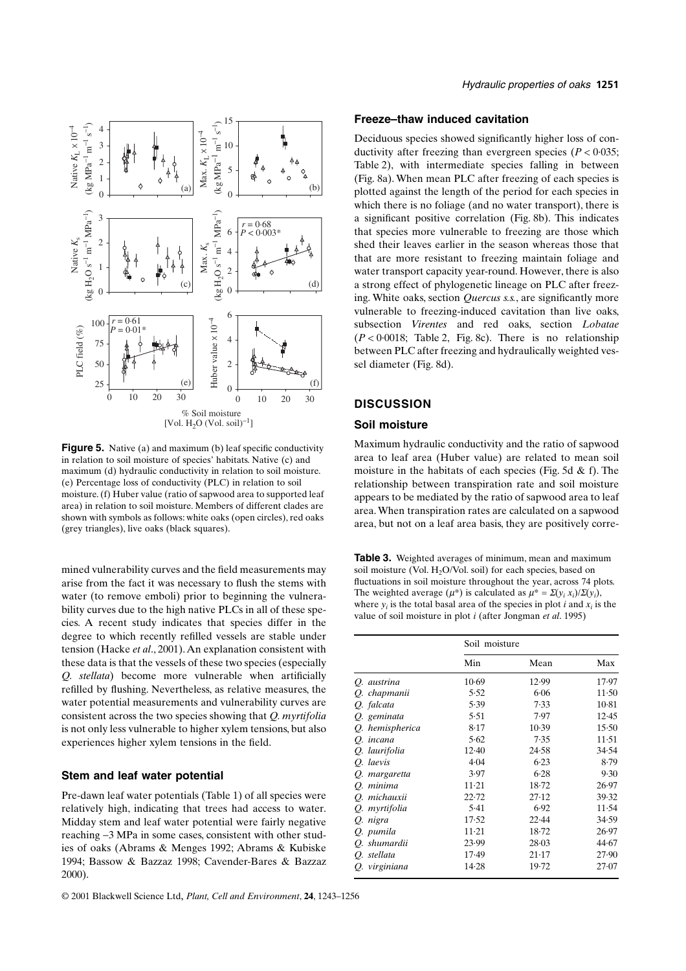

**Figure 5.** Native (a) and maximum (b) leaf specific conductivity in relation to soil moisture of species' habitats. Native (c) and maximum (d) hydraulic conductivity in relation to soil moisture. (e) Percentage loss of conductivity (PLC) in relation to soil moisture. (f) Huber value (ratio of sapwood area to supported leaf area) in relation to soil moisture. Members of different clades are shown with symbols as follows: white oaks (open circles), red oaks

mined vulnerability curves and the field measurements may arise from the fact it was necessary to flush the stems with water (to remove emboli) prior to beginning the vulnerability curves due to the high native PLCs in all of these species. A recent study indicates that species differ in the degree to which recently refilled vessels are stable under tension (Hacke *et al*., 2001). An explanation consistent with these data is that the vessels of these two species (especially *Q. stellata*) become more vulnerable when artificially refilled by flushing. Nevertheless, as relative measures, the water potential measurements and vulnerability curves are consistent across the two species showing that *Q. myrtifolia* is not only less vulnerable to higher xylem tensions, but also experiences higher xylem tensions in the field.

# **Stem and leaf water potential**

Pre-dawn leaf water potentials (Table 1) of all species were relatively high, indicating that trees had access to water. Midday stem and leaf water potential were fairly negative reaching −3 MPa in some cases, consistent with other studies of oaks (Abrams & Menges 1992; Abrams & Kubiske 1994; Bassow & Bazzaz 1998; Cavender-Bares & Bazzaz 2000).

# **Freeze–thaw induced cavitation**

Deciduous species showed significantly higher loss of conductivity after freezing than evergreen species  $(P < 0.035$ ; Table 2), with intermediate species falling in between (Fig. 8a). When mean PLC after freezing of each species is plotted against the length of the period for each species in which there is no foliage (and no water transport), there is a significant positive correlation (Fig. 8b). This indicates that species more vulnerable to freezing are those which shed their leaves earlier in the season whereas those that that are more resistant to freezing maintain foliage and water transport capacity year-round. However, there is also a strong effect of phylogenetic lineage on PLC after freezing. White oaks, section *Quercus s.s.*, are significantly more vulnerable to freezing-induced cavitation than live oaks, subsection *Virentes* and red oaks, section *Lobatae*  $(P < 0.0018$ ; Table 2, Fig. 8c). There is no relationship between PLC after freezing and hydraulically weighted vessel diameter (Fig. 8d).

## **DISCUSSION**

## **Soil moisture**

Maximum hydraulic conductivity and the ratio of sapwood area to leaf area (Huber value) are related to mean soil moisture in the habitats of each species (Fig. 5d & f). The relationship between transpiration rate and soil moisture appears to be mediated by the ratio of sapwood area to leaf area. When transpiration rates are calculated on a sapwood area, but not on a leaf area basis, they are positively corre-

**Table 3.** Weighted averages of minimum, mean and maximum soil moisture (Vol.  $H<sub>2</sub>O/Vol.$  soil) for each species, based on fluctuations in soil moisture throughout the year, across 74 plots. The weighted average  $(\mu^*)$  is calculated as  $\mu^* = \Sigma(y_i x_i)/\Sigma(y_i)$ , where  $y_i$  is the total basal area of the species in plot  $i$  and  $x_i$  is the value of soil moisture in plot *i* (after Jongman *et al*. 1995)

|                 | Soil moisture |           |         |  |
|-----------------|---------------|-----------|---------|--|
|                 | Min           | Mean      | Max     |  |
| Q. austrina     | $10-69$       | 12.99     | 17.97   |  |
| Q. chapmanii    | 5.52          | 6.06      | $11-50$ |  |
| O. falcata      | 5.39          | 7.33      | $10-81$ |  |
| O. geminata     | 5.51          | 7.97      | 12.45   |  |
| Q. hemispherica | 8.17          | $10-39$   | 15.50   |  |
| Q. incana       | 5.62          | 7.35      | 11.51   |  |
| O. laurifolia   | $12-40$       | 24.58     | 34.54   |  |
| O. laevis       | 4.04          | 6.23      | 8.79    |  |
| Q. margaretta   | 3.97          | $6 - 28$  | 9.30    |  |
| O. minima       | $11 - 21$     | $18 - 72$ | 26.97   |  |
| O. michauxii    | 22.72         | 27.12     | 39.32   |  |
| O. myrtifolia   | 5.41          | 6.92      | 11.54   |  |
| O. nigra        | 17.52         | 22.44     | 34.59   |  |
| Q. pumila       | $11-21$       | $18 - 72$ | 26.97   |  |
| Q. shumardii    | 23.99         | $28 - 03$ | 44.67   |  |
| O. stellata     | $17-49$       | $21-17$   | 27.90   |  |
| O. virginiana   | $14-28$       | $19-72$   | 27.07   |  |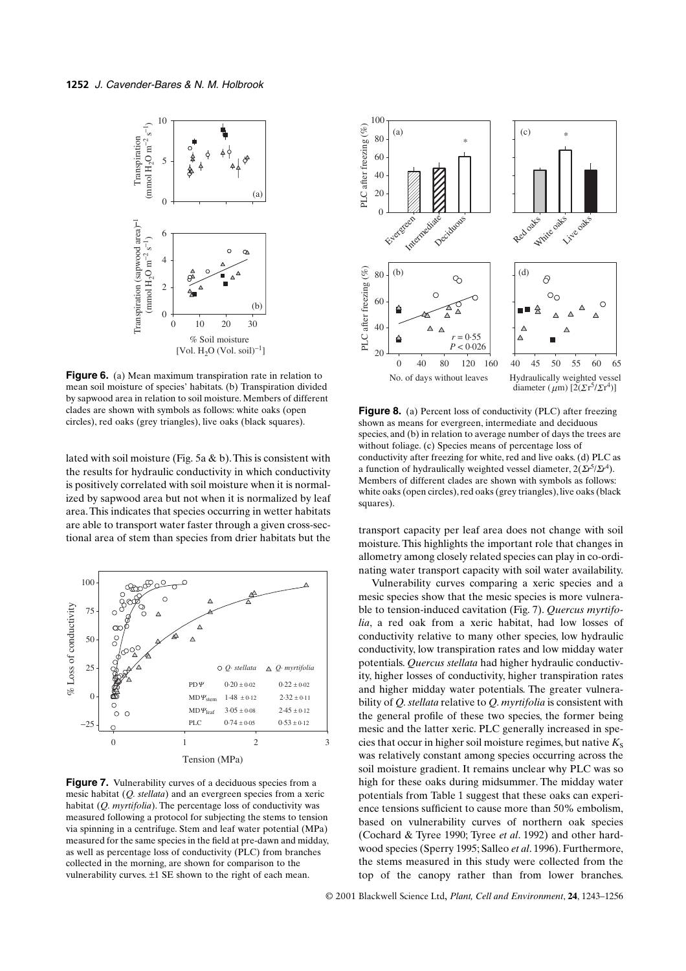

**Figure 6.** (a) Mean maximum transpiration rate in relation to mean soil moisture of species' habitats. (b) Transpiration divided by sapwood area in relation to soil moisture. Members of different clades are shown with symbols as follows: white oaks (open circles), red oaks (grey triangles), live oaks (black squares).

lated with soil moisture (Fig. 5a & b). This is consistent with the results for hydraulic conductivity in which conductivity is positively correlated with soil moisture when it is normalized by sapwood area but not when it is normalized by leaf area. This indicates that species occurring in wetter habitats are able to transport water faster through a given cross-sectional area of stem than species from drier habitats but the transport capacity per leaf area does not change with soil<br>transport capacity per leaf area does not change with soil



**Figure 7.** Vulnerability curves of a deciduous species from a mesic habitat (*Q. stellata*) and an evergreen species from a xeric habitat (*Q. myrtifolia*). The percentage loss of conductivity was measured following a protocol for subjecting the stems to tension via spinning in a centrifuge. Stem and leaf water potential (MPa) measured for the same species in the field at pre-dawn and midday, as well as percentage loss of conductivity (PLC) from branches collected in the morning, are shown for comparison to the vulnerability curves. ±1 SE shown to the right of each mean.



**Figure 8.** (a) Percent loss of conductivity (PLC) after freezing shown as means for evergreen, intermediate and deciduous species, and (b) in relation to average number of days the trees are without foliage. (c) Species means of percentage loss of conductivity after freezing for white, red and live oaks. (d) PLC as a function of hydraulically weighted vessel diameter, 2(Σ*r*5/Σ*r*4). Members of different clades are shown with symbols as follows: white oaks (open circles), red oaks (grey triangles), live oaks (black squares).

moisture. This highlights the important role that changes in allometry among closely related species can play in co-ordinating water transport capacity with soil water availability.

Vulnerability curves comparing a xeric species and a mesic species show that the mesic species is more vulnerable to tension-induced cavitation (Fig. 7). *Quercus myrtifolia*, a red oak from a xeric habitat, had low losses of conductivity relative to many other species, low hydraulic conductivity, low transpiration rates and low midday water potentials. *Quercus stellata* had higher hydraulic conductivity, higher losses of conductivity, higher transpiration rates and higher midday water potentials. The greater vulnerability of *Q. stellata* relative to *Q. myrtifolia* is consistent with the general profile of these two species, the former being mesic and the latter xeric. PLC generally increased in species that occur in higher soil moisture regimes, but native  $K<sub>S</sub>$ was relatively constant among species occurring across the soil moisture gradient. It remains unclear why PLC was so high for these oaks during midsummer. The midday water potentials from Table 1 suggest that these oaks can experience tensions sufficient to cause more than 50% embolism, based on vulnerability curves of northern oak species (Cochard & Tyree 1990; Tyree *et al*. 1992) and other hardwood species (Sperry 1995; Salleo *et al*. 1996). Furthermore, the stems measured in this study were collected from the top of the canopy rather than from lower branches.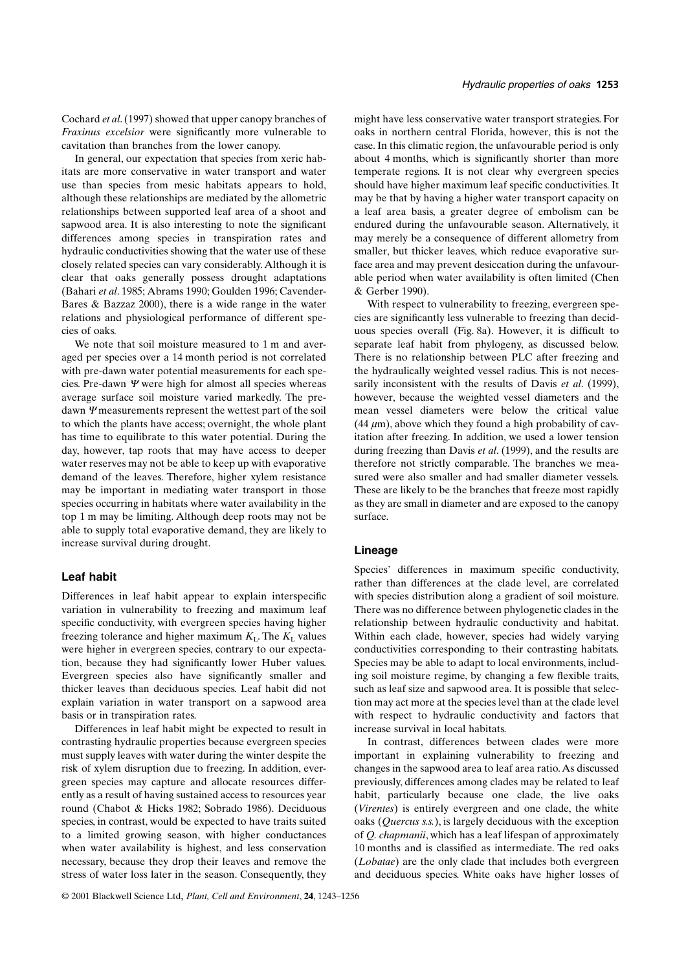Cochard *et al*. (1997) showed that upper canopy branches of *Fraxinus excelsior* were significantly more vulnerable to cavitation than branches from the lower canopy.

In general, our expectation that species from xeric habitats are more conservative in water transport and water use than species from mesic habitats appears to hold, although these relationships are mediated by the allometric relationships between supported leaf area of a shoot and sapwood area. It is also interesting to note the significant differences among species in transpiration rates and hydraulic conductivities showing that the water use of these closely related species can vary considerably. Although it is clear that oaks generally possess drought adaptations (Bahari *et al*. 1985; Abrams 1990; Goulden 1996; Cavender-Bares & Bazzaz 2000), there is a wide range in the water relations and physiological performance of different species of oaks.

We note that soil moisture measured to 1 m and averaged per species over a 14 month period is not correlated with pre-dawn water potential measurements for each species. Pre-dawn  $\Psi$  were high for almost all species whereas average surface soil moisture varied markedly. The predawn Ψ measurements represent the wettest part of the soil to which the plants have access; overnight, the whole plant has time to equilibrate to this water potential. During the day, however, tap roots that may have access to deeper water reserves may not be able to keep up with evaporative demand of the leaves. Therefore, higher xylem resistance may be important in mediating water transport in those species occurring in habitats where water availability in the top 1 m may be limiting. Although deep roots may not be able to supply total evaporative demand, they are likely to increase survival during drought.

## **Leaf habit**

Differences in leaf habit appear to explain interspecific variation in vulnerability to freezing and maximum leaf specific conductivity, with evergreen species having higher freezing tolerance and higher maximum  $K_L$ . The  $K_L$  values were higher in evergreen species, contrary to our expectation, because they had significantly lower Huber values. Evergreen species also have significantly smaller and thicker leaves than deciduous species. Leaf habit did not explain variation in water transport on a sapwood area basis or in transpiration rates.

Differences in leaf habit might be expected to result in contrasting hydraulic properties because evergreen species must supply leaves with water during the winter despite the risk of xylem disruption due to freezing. In addition, evergreen species may capture and allocate resources differently as a result of having sustained access to resources year round (Chabot & Hicks 1982; Sobrado 1986). Deciduous species, in contrast, would be expected to have traits suited to a limited growing season, with higher conductances when water availability is highest, and less conservation necessary, because they drop their leaves and remove the stress of water loss later in the season. Consequently, they might have less conservative water transport strategies. For oaks in northern central Florida, however, this is not the case. In this climatic region, the unfavourable period is only about 4 months, which is significantly shorter than more temperate regions. It is not clear why evergreen species should have higher maximum leaf specific conductivities. It may be that by having a higher water transport capacity on a leaf area basis, a greater degree of embolism can be endured during the unfavourable season. Alternatively, it may merely be a consequence of different allometry from smaller, but thicker leaves, which reduce evaporative surface area and may prevent desiccation during the unfavourable period when water availability is often limited (Chen & Gerber 1990).

*Hydraulic properties of oaks* **1253**

With respect to vulnerability to freezing, evergreen species are significantly less vulnerable to freezing than deciduous species overall (Fig. 8a). However, it is difficult to separate leaf habit from phylogeny, as discussed below. There is no relationship between PLC after freezing and the hydraulically weighted vessel radius. This is not necessarily inconsistent with the results of Davis *et al.* (1999), however, because the weighted vessel diameters and the mean vessel diameters were below the critical value  $(44 \mu m)$ , above which they found a high probability of cavitation after freezing. In addition, we used a lower tension during freezing than Davis *et al*. (1999), and the results are therefore not strictly comparable. The branches we measured were also smaller and had smaller diameter vessels. These are likely to be the branches that freeze most rapidly as they are small in diameter and are exposed to the canopy surface.

#### **Lineage**

Species' differences in maximum specific conductivity, rather than differences at the clade level, are correlated with species distribution along a gradient of soil moisture. There was no difference between phylogenetic clades in the relationship between hydraulic conductivity and habitat. Within each clade, however, species had widely varying conductivities corresponding to their contrasting habitats. Species may be able to adapt to local environments, including soil moisture regime, by changing a few flexible traits, such as leaf size and sapwood area. It is possible that selection may act more at the species level than at the clade level with respect to hydraulic conductivity and factors that increase survival in local habitats.

In contrast, differences between clades were more important in explaining vulnerability to freezing and changes in the sapwood area to leaf area ratio. As discussed previously, differences among clades may be related to leaf habit, particularly because one clade, the live oaks (*Virentes*) is entirely evergreen and one clade, the white oaks (*Quercus s.s.*), is largely deciduous with the exception of *Q. chapmanii*, which has a leaf lifespan of approximately 10 months and is classified as intermediate. The red oaks (*Lobatae*) are the only clade that includes both evergreen and deciduous species. White oaks have higher losses of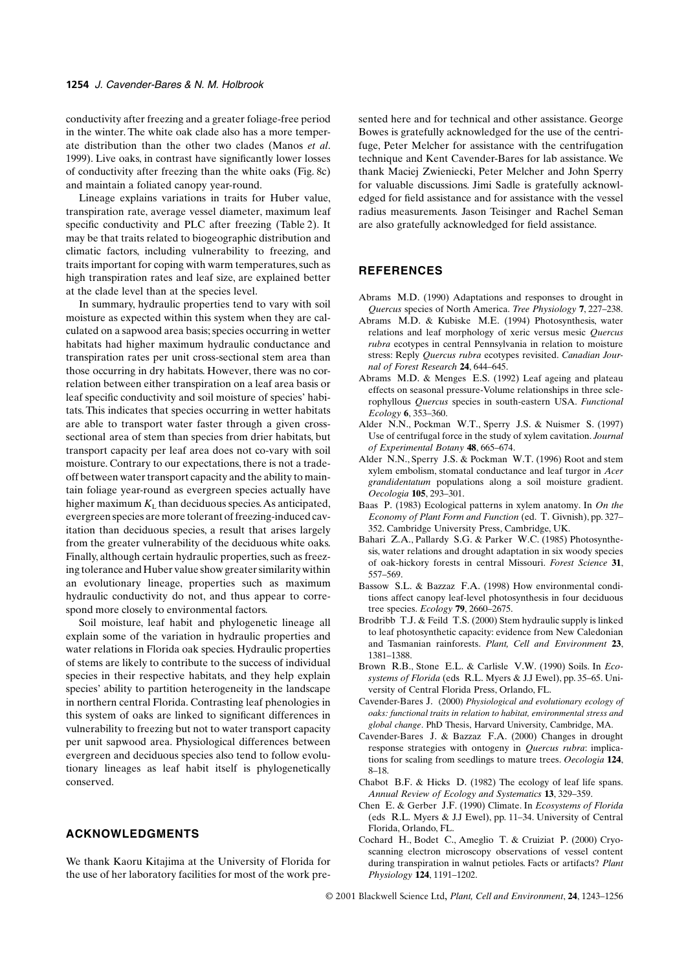conductivity after freezing and a greater foliage-free period in the winter. The white oak clade also has a more temperate distribution than the other two clades (Manos *et al*. 1999). Live oaks, in contrast have significantly lower losses of conductivity after freezing than the white oaks (Fig. 8c) and maintain a foliated canopy year-round.

Lineage explains variations in traits for Huber value, transpiration rate, average vessel diameter, maximum leaf specific conductivity and PLC after freezing (Table 2). It may be that traits related to biogeographic distribution and climatic factors, including vulnerability to freezing, and traits important for coping with warm temperatures, such as high transpiration rates and leaf size, are explained better at the clade level than at the species level.

In summary, hydraulic properties tend to vary with soil moisture as expected within this system when they are calculated on a sapwood area basis; species occurring in wetter habitats had higher maximum hydraulic conductance and transpiration rates per unit cross-sectional stem area than those occurring in dry habitats. However, there was no correlation between either transpiration on a leaf area basis or leaf specific conductivity and soil moisture of species' habitats. This indicates that species occurring in wetter habitats are able to transport water faster through a given crosssectional area of stem than species from drier habitats, but transport capacity per leaf area does not co-vary with soil moisture. Contrary to our expectations, there is not a tradeoff between water transport capacity and the ability to maintain foliage year-round as evergreen species actually have higher maximum  $K<sub>L</sub>$  than deciduous species. As anticipated, evergreen species are more tolerant of freezing-induced cavitation than deciduous species, a result that arises largely from the greater vulnerability of the deciduous white oaks. Finally, although certain hydraulic properties, such as freezing tolerance and Huber value show greater similarity within an evolutionary lineage, properties such as maximum hydraulic conductivity do not, and thus appear to correspond more closely to environmental factors.

Soil moisture, leaf habit and phylogenetic lineage all explain some of the variation in hydraulic properties and water relations in Florida oak species. Hydraulic properties of stems are likely to contribute to the success of individual species in their respective habitats, and they help explain species' ability to partition heterogeneity in the landscape in northern central Florida. Contrasting leaf phenologies in this system of oaks are linked to significant differences in vulnerability to freezing but not to water transport capacity per unit sapwood area. Physiological differences between evergreen and deciduous species also tend to follow evolutionary lineages as leaf habit itself is phylogenetically conserved.

# **ACKNOWLEDGMENTS**

We thank Kaoru Kitajima at the University of Florida for the use of her laboratory facilities for most of the work presented here and for technical and other assistance. George Bowes is gratefully acknowledged for the use of the centrifuge, Peter Melcher for assistance with the centrifugation technique and Kent Cavender-Bares for lab assistance. We thank Maciej Zwieniecki, Peter Melcher and John Sperry for valuable discussions. Jimi Sadle is gratefully acknowledged for field assistance and for assistance with the vessel radius measurements. Jason Teisinger and Rachel Seman are also gratefully acknowledged for field assistance.

# **REFERENCES**

- Abrams M.D. (1990) Adaptations and responses to drought in *Quercus* species of North America. *Tree Physiology* **7**, 227–238.
- Abrams M.D. & Kubiske M.E. (1994) Photosynthesis, water relations and leaf morphology of xeric versus mesic *Quercus rubra* ecotypes in central Pennsylvania in relation to moisture stress: Reply *Quercus rubra* ecotypes revisited. *Canadian Journal of Forest Research* **24**, 644–645.
- Abrams M.D. & Menges E.S. (1992) Leaf ageing and plateau effects on seasonal pressure-Volume relationships in three sclerophyllous *Quercus* species in south-eastern USA. *Functional Ecology* **6**, 353–360.
- Alder N.N., Pockman W.T., Sperry J.S. & Nuismer S. (1997) Use of centrifugal force in the study of xylem cavitation. *Journal of Experimental Botany* **48**, 665–674.
- Alder N.N., Sperry J.S. & Pockman W.T. (1996) Root and stem xylem embolism, stomatal conductance and leaf turgor in *Acer grandidentatum* populations along a soil moisture gradient. *Oecologia* **105**, 293–301.
- Baas P. (1983) Ecological patterns in xylem anatomy. In *On the Economy of Plant Form and Function* (ed. T. Givnish), pp. 327– 352. Cambridge University Press, Cambridge, UK.
- Bahari Z.A., Pallardy S.G. & Parker W.C. (1985) Photosynthesis, water relations and drought adaptation in six woody species of oak-hickory forests in central Missouri. *Forest Science* **31**, 557–569.
- Bassow S.L. & Bazzaz F.A. (1998) How environmental conditions affect canopy leaf-level photosynthesis in four deciduous tree species. *Ecology* **79**, 2660–2675.
- Brodribb T.J. & Feild T.S. (2000) Stem hydraulic supply is linked to leaf photosynthetic capacity: evidence from New Caledonian and Tasmanian rainforests. *Plant, Cell and Environment* **23**, 1381–1388.
- Brown R.B., Stone E.L. & Carlisle V.W. (1990) Soils. In *Ecosystems of Florida* (eds R.L. Myers & J.J Ewel), pp. 35–65. University of Central Florida Press, Orlando, FL.
- Cavender-Bares J. (2000) *Physiological and evolutionary ecology of oaks: functional traits in relation to habitat, environmental stress and global change*. PhD Thesis, Harvard University, Cambridge, MA.
- Cavender-Bares J. & Bazzaz F.A. (2000) Changes in drought response strategies with ontogeny in *Quercus rubra*: implications for scaling from seedlings to mature trees. *Oecologia* **124**, 8–18.
- Chabot B.F. & Hicks D. (1982) The ecology of leaf life spans. *Annual Review of Ecology and Systematics* **13**, 329–359.
- Chen E. & Gerber J.F. (1990) Climate. In *Ecosystems of Florida* (eds R.L. Myers & J.J Ewel), pp. 11–34. University of Central Florida, Orlando, FL.
- Cochard H., Bodet C., Ameglio T. & Cruiziat P. (2000) Cryoscanning electron microscopy observations of vessel content during transpiration in walnut petioles. Facts or artifacts? *Plant Physiology* **124**, 1191–1202.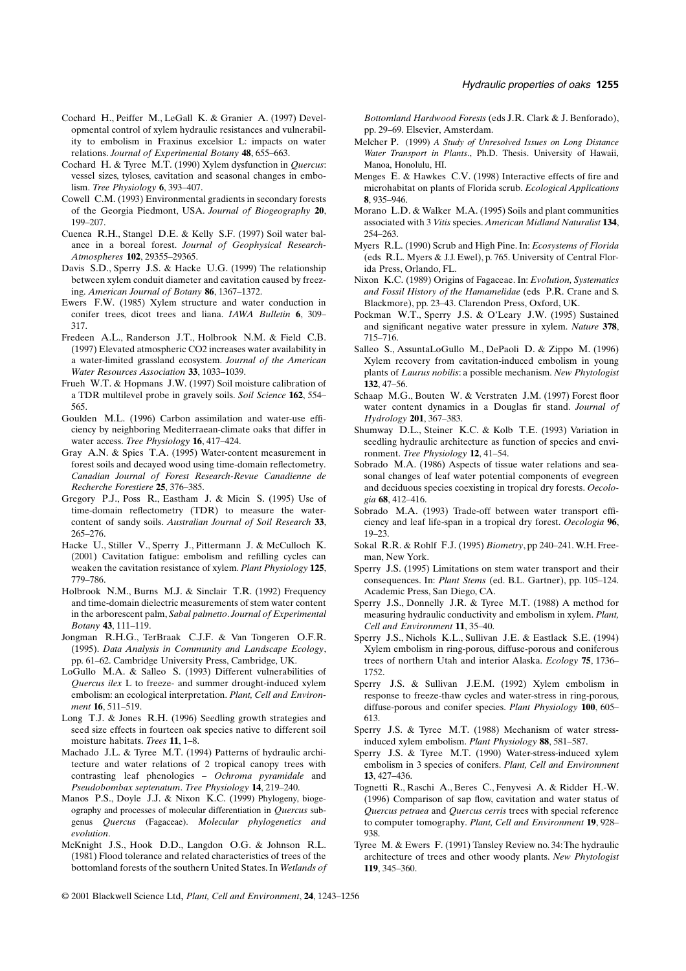- Cochard H., Peiffer M., LeGall K. & Granier A. (1997) Developmental control of xylem hydraulic resistances and vulnerability to embolism in Fraxinus excelsior L: impacts on water relations. *Journal of Experimental Botany* **48**, 655–663.
- Cochard H. & Tyree M.T. (1990) Xylem dysfunction in *Quercus*: vessel sizes, tyloses, cavitation and seasonal changes in embolism. *Tree Physiology* **6**, 393–407.
- Cowell C.M. (1993) Environmental gradients in secondary forests of the Georgia Piedmont, USA. *Journal of Biogeography* **20**, 199–207.
- Cuenca R.H., Stangel D.E. & Kelly S.F. (1997) Soil water balance in a boreal forest. *Journal of Geophysical Research-Atmospheres* **102**, 29355–29365.
- Davis S.D., Sperry J.S. & Hacke U.G. (1999) The relationship between xylem conduit diameter and cavitation caused by freezing. *American Journal of Botany* **86**, 1367–1372.
- Ewers F.W. (1985) Xylem structure and water conduction in conifer trees, dicot trees and liana. *IAWA Bulletin* **6**, 309– 317.
- Fredeen A.L., Randerson J.T., Holbrook N.M. & Field C.B. (1997) Elevated atmospheric CO2 increases water availability in a water-limited grassland ecosystem. *Journal of the American Water Resources Association* **33**, 1033–1039.
- Frueh W.T. & Hopmans J.W. (1997) Soil moisture calibration of a TDR multilevel probe in gravely soils. *Soil Science* **162**, 554– 565.
- Goulden M.L. (1996) Carbon assimilation and water-use efficiency by neighboring Mediterraean-climate oaks that differ in water access. *Tree Physiology* **16**, 417–424.
- Gray A.N. & Spies T.A. (1995) Water-content measurement in forest soils and decayed wood using time-domain reflectometry. *Canadian Journal of Forest Research-Revue Canadienne de Recherche Forestiere* **25**, 376–385.
- Gregory P.J., Poss R., Eastham J. & Micin S. (1995) Use of time-domain reflectometry (TDR) to measure the watercontent of sandy soils. *Australian Journal of Soil Research* **33**, 265–276.
- Hacke U., Stiller V., Sperry J., Pittermann J. & McCulloch K. (2001) Cavitation fatigue: embolism and refilling cycles can weaken the cavitation resistance of xylem. *Plant Physiology* **125**, 779–786.
- Holbrook N.M., Burns M.J. & Sinclair T.R. (1992) Frequency and time-domain dielectric measurements of stem water content in the arborescent palm, *Sabal palmetto*. *Journal of Experimental Botany* **43**, 111–119.
- Jongman R.H.G., TerBraak C.J.F. & Van Tongeren O.F.R. (1995). *Data Analysis in Community and Landscape Ecology*, pp. 61–62. Cambridge University Press, Cambridge, UK.
- LoGullo M.A. & Salleo S. (1993) Different vulnerabilities of *Quercus ilex* L to freeze- and summer drought-induced xylem embolism: an ecological interpretation. *Plant, Cell and Environment* **16**, 511–519.
- Long T.J. & Jones R.H. (1996) Seedling growth strategies and seed size effects in fourteen oak species native to different soil moisture habitats. *Trees* **11**, 1–8.
- Machado J.L. & Tyree M.T. (1994) Patterns of hydraulic architecture and water relations of 2 tropical canopy trees with contrasting leaf phenologies – *Ochroma pyramidale* and *Pseudobombax septenatum*. *Tree Physiology* **14**, 219–240.
- Manos P.S., Doyle J.J. & Nixon K.C. (1999) Phylogeny, biogeography and processes of molecular differentiation in *Quercus* subgenus *Quercus* (Fagaceae). *Molecular phylogenetics and evolution*.
- McKnight J.S., Hook D.D., Langdon O.G. & Johnson R.L. (1981) Flood tolerance and related characteristics of trees of the bottomland forests of the southern United States. In *Wetlands of*

*Bottomland Hardwood Forests* (eds J.R. Clark & J. Benforado), pp. 29–69. Elsevier, Amsterdam.

- Melcher P. (1999) *A Study of Unresolved Issues on Long Distance Water Transport in Plants*., Ph.D. Thesis. University of Hawaii, Manoa, Honolulu, HI.
- Menges E. & Hawkes C.V. (1998) Interactive effects of fire and microhabitat on plants of Florida scrub. *Ecological Applications* **8**, 935–946.
- Morano L.D. & Walker M.A. (1995) Soils and plant communities associated with 3 *Vitis* species. *American Midland Naturalist* **134**, 254–263.
- Myers R.L. (1990) Scrub and High Pine. In: *Ecosystems of Florida* (eds R.L. Myers & J.J. Ewel), p. 765. University of Central Florida Press, Orlando, FL.
- Nixon K.C. (1989) Origins of Fagaceae. In: *Evolution, Systematics and Fossil History of the Hamamelidae* (eds P.R. Crane and S. Blackmore), pp. 23–43. Clarendon Press, Oxford, UK.
- Pockman W.T., Sperry J.S. & O'Leary J.W. (1995) Sustained and significant negative water pressure in xylem. *Nature* **378**, 715–716.
- Salleo S., AssuntaLoGullo M., DePaoli D. & Zippo M. (1996) Xylem recovery from cavitation-induced embolism in young plants of *Laurus nobilis*: a possible mechanism. *New Phytologist* **132**, 47–56.
- Schaap M.G., Bouten W. & Verstraten J.M. (1997) Forest floor water content dynamics in a Douglas fir stand. *Journal of Hydrology* **201**, 367–383.
- Shumway D.L., Steiner K.C. & Kolb T.E. (1993) Variation in seedling hydraulic architecture as function of species and environment. *Tree Physiology* **12**, 41–54.
- Sobrado M.A. (1986) Aspects of tissue water relations and seasonal changes of leaf water potential components of evegreen and deciduous species coexisting in tropical dry forests. *Oecologia* **68**, 412–416.
- Sobrado M.A. (1993) Trade-off between water transport efficiency and leaf life-span in a tropical dry forest. *Oecologia* **96**, 19–23.
- Sokal R.R. & Rohlf F.J. (1995) *Biometry*, pp 240–241. W.H. Freeman, New York.
- Sperry J.S. (1995) Limitations on stem water transport and their consequences. In: *Plant Stems* (ed. B.L. Gartner), pp. 105–124. Academic Press, San Diego, CA.
- Sperry J.S., Donnelly J.R. & Tyree M.T. (1988) A method for measuring hydraulic conductivity and embolism in xylem. *Plant, Cell and Environment* **11**, 35–40.
- Sperry J.S., Nichols K.L., Sullivan J.E. & Eastlack S.E. (1994) Xylem embolism in ring-porous, diffuse-porous and coniferous trees of northern Utah and interior Alaska. *Ecology* **75**, 1736– 1752.
- Sperry J.S. & Sullivan J.E.M. (1992) Xylem embolism in response to freeze-thaw cycles and water-stress in ring-porous, diffuse-porous and conifer species. *Plant Physiology* **100**, 605– 613.
- Sperry J.S. & Tyree M.T. (1988) Mechanism of water stressinduced xylem embolism. *Plant Physiology* **88**, 581–587.
- Sperry J.S. & Tyree M.T. (1990) Water-stress-induced xylem embolism in 3 species of conifers. *Plant, Cell and Environment* **13**, 427–436.
- Tognetti R., Raschi A., Beres C., Fenyvesi A. & Ridder H.-W. (1996) Comparison of sap flow, cavitation and water status of *Quercus petraea* and *Quercus cerris* trees with special reference to computer tomography. *Plant, Cell and Environment* **19**, 928– 938.
- Tyree M. & Ewers F. (1991) Tansley Review no. 34: The hydraulic architecture of trees and other woody plants. *New Phytologist* **119**, 345–360.
- © 2001 Blackwell Science Ltd, *Plant, Cell and Environment*, **24**, 1243–1256